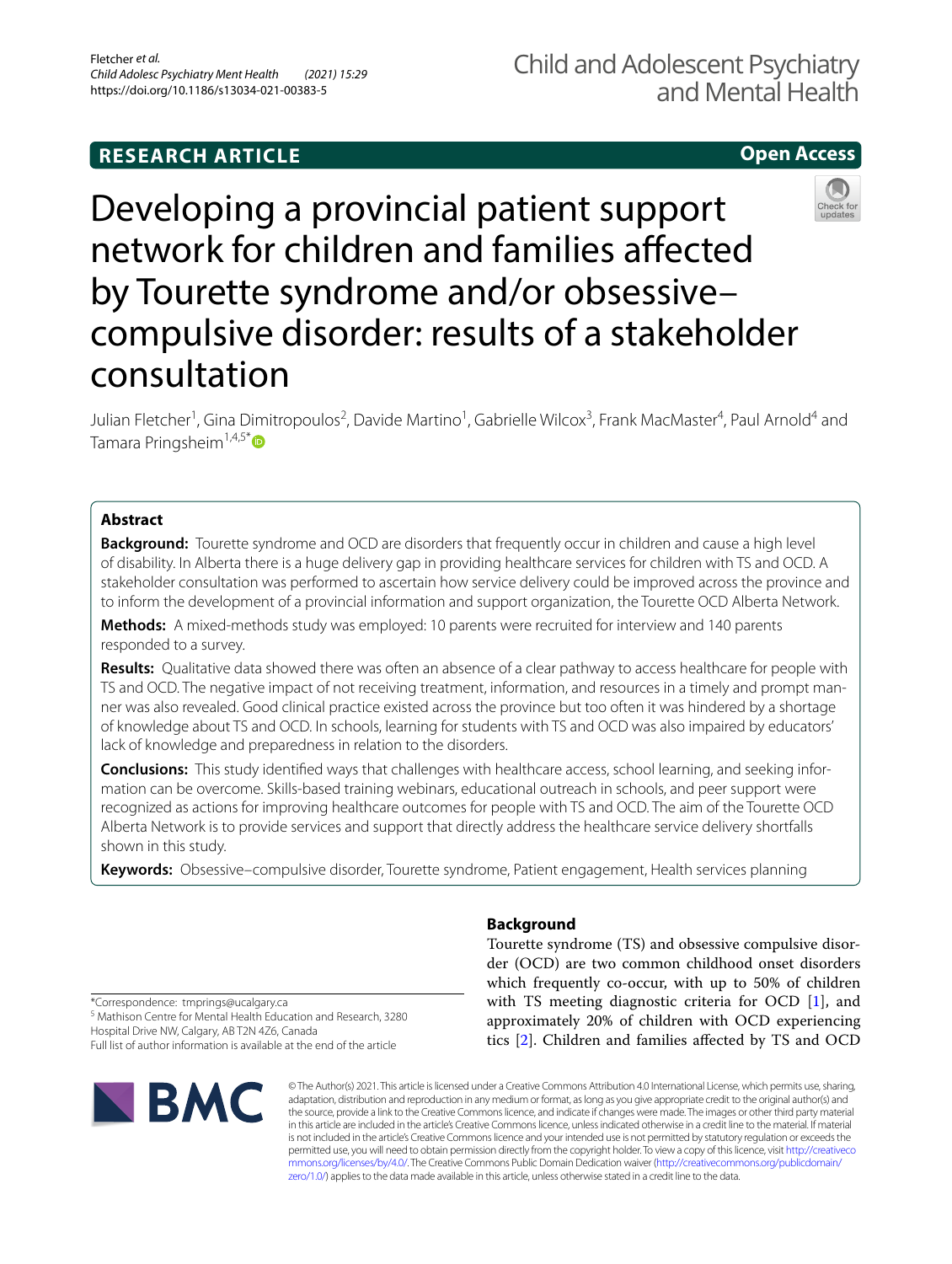# **RESEARCH ARTICLE**

# **Open Access**



Developing a provincial patient support network for children and families afected by Tourette syndrome and/or obsessive– compulsive disorder: results of a stakeholder consultation

Julian Fletcher<sup>1</sup>, Gina Dimitropoulos<sup>2</sup>, Davide Martino<sup>1</sup>, Gabrielle Wilcox<sup>3</sup>, Frank MacMaster<sup>4</sup>, Paul Arnold<sup>4</sup> and Tamara Pringsheim<sup>1,4,5[\\*](http://orcid.org/0000-0002-8229-8431)</sup>

# **Abstract**

**Background:** Tourette syndrome and OCD are disorders that frequently occur in children and cause a high level of disability. In Alberta there is a huge delivery gap in providing healthcare services for children with TS and OCD. A stakeholder consultation was performed to ascertain how service delivery could be improved across the province and to inform the development of a provincial information and support organization, the Tourette OCD Alberta Network.

**Methods:** A mixed-methods study was employed: 10 parents were recruited for interview and 140 parents responded to a survey.

**Results:** Qualitative data showed there was often an absence of a clear pathway to access healthcare for people with TS and OCD. The negative impact of not receiving treatment, information, and resources in a timely and prompt manner was also revealed. Good clinical practice existed across the province but too often it was hindered by a shortage of knowledge about TS and OCD. In schools, learning for students with TS and OCD was also impaired by educators' lack of knowledge and preparedness in relation to the disorders.

**Conclusions:** This study identifed ways that challenges with healthcare access, school learning, and seeking information can be overcome. Skills-based training webinars, educational outreach in schools, and peer support were recognized as actions for improving healthcare outcomes for people with TS and OCD. The aim of the Tourette OCD Alberta Network is to provide services and support that directly address the healthcare service delivery shortfalls shown in this study.

**Keywords:** Obsessive–compulsive disorder, Tourette syndrome, Patient engagement, Health services planning

# **Background**

Tourette syndrome (TS) and obsessive compulsive disorder (OCD) are two common childhood onset disorders which frequently co-occur, with up to 50% of children with TS meeting diagnostic criteria for OCD [\[1](#page-8-0)], and approximately 20% of children with OCD experiencing tics [[2\]](#page-8-1). Children and families afected by TS and OCD

\*Correspondence: tmprings@ucalgary.ca <sup>5</sup> Mathison Centre for Mental Health Education and Research, 3280 Hospital Drive NW, Calgary, AB T2N 4Z6, Canada Full list of author information is available at the end of the article



© The Author(s) 2021. This article is licensed under a Creative Commons Attribution 4.0 International License, which permits use, sharing, adaptation, distribution and reproduction in any medium or format, as long as you give appropriate credit to the original author(s) and the source, provide a link to the Creative Commons licence, and indicate if changes were made. The images or other third party material in this article are included in the article's Creative Commons licence, unless indicated otherwise in a credit line to the material. If material is not included in the article's Creative Commons licence and your intended use is not permitted by statutory regulation or exceeds the permitted use, you will need to obtain permission directly from the copyright holder. To view a copy of this licence, visit [http://creativeco](http://creativecommons.org/licenses/by/4.0/) [mmons.org/licenses/by/4.0/.](http://creativecommons.org/licenses/by/4.0/) The Creative Commons Public Domain Dedication waiver ([http://creativecommons.org/publicdomain/](http://creativecommons.org/publicdomain/zero/1.0/) [zero/1.0/\)](http://creativecommons.org/publicdomain/zero/1.0/) applies to the data made available in this article, unless otherwise stated in a credit line to the data.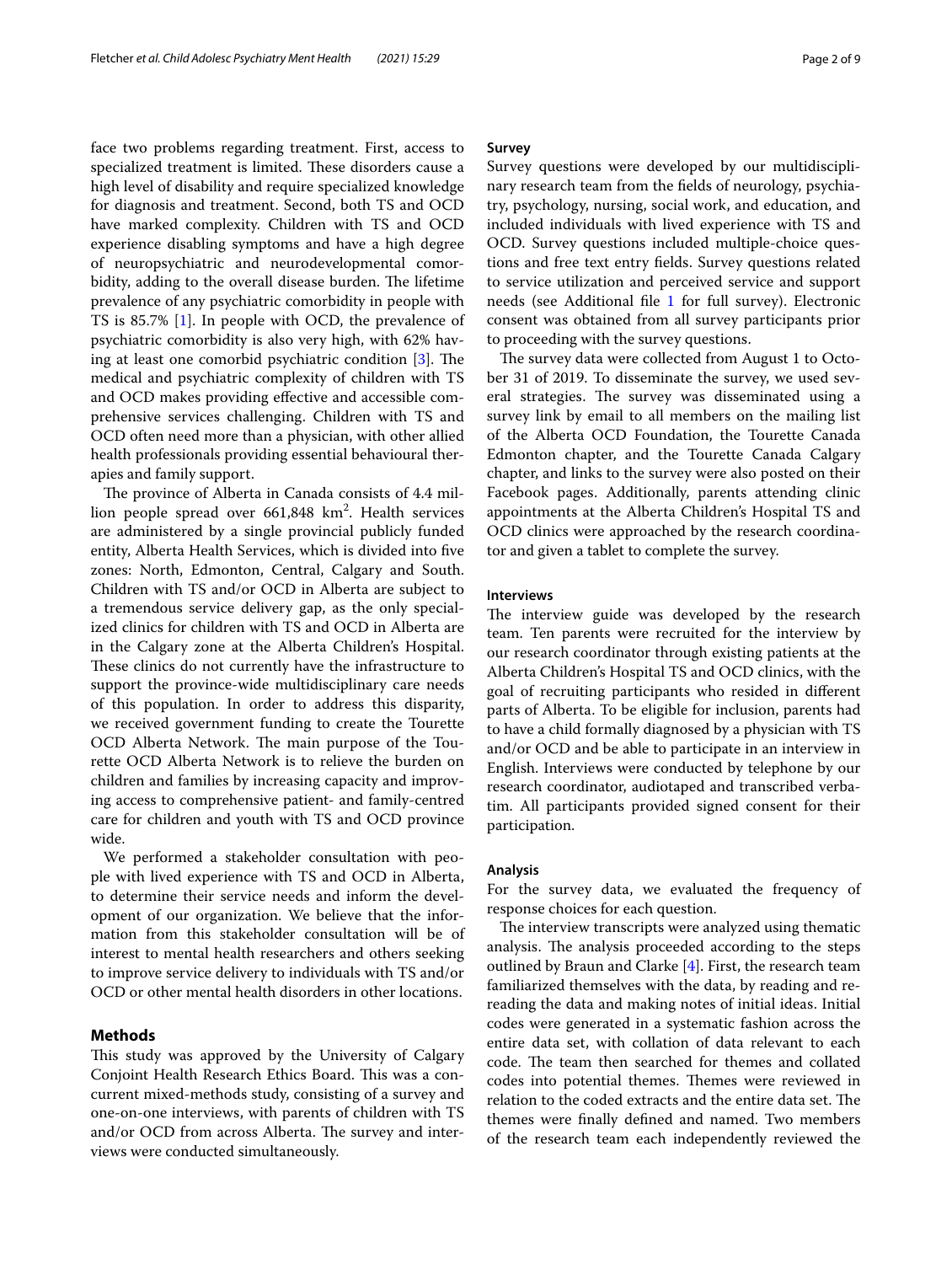face two problems regarding treatment. First, access to specialized treatment is limited. These disorders cause a high level of disability and require specialized knowledge for diagnosis and treatment. Second, both TS and OCD have marked complexity. Children with TS and OCD experience disabling symptoms and have a high degree of neuropsychiatric and neurodevelopmental comorbidity, adding to the overall disease burden. The lifetime prevalence of any psychiatric comorbidity in people with TS is 85.7% [\[1](#page-8-0)]. In people with OCD, the prevalence of psychiatric comorbidity is also very high, with 62% having at least one comorbid psychiatric condition  $[3]$  $[3]$ . The medical and psychiatric complexity of children with TS and OCD makes providing efective and accessible comprehensive services challenging. Children with TS and OCD often need more than a physician, with other allied health professionals providing essential behavioural therapies and family support.

The province of Alberta in Canada consists of 4.4 million people spread over  $661,848 \text{ km}^2$ . Health services are administered by a single provincial publicly funded entity, Alberta Health Services, which is divided into fve zones: North, Edmonton, Central, Calgary and South. Children with TS and/or OCD in Alberta are subject to a tremendous service delivery gap, as the only specialized clinics for children with TS and OCD in Alberta are in the Calgary zone at the Alberta Children's Hospital. These clinics do not currently have the infrastructure to support the province-wide multidisciplinary care needs of this population. In order to address this disparity, we received government funding to create the Tourette OCD Alberta Network. The main purpose of the Tourette OCD Alberta Network is to relieve the burden on children and families by increasing capacity and improving access to comprehensive patient- and family-centred care for children and youth with TS and OCD province wide.

We performed a stakeholder consultation with people with lived experience with TS and OCD in Alberta, to determine their service needs and inform the development of our organization. We believe that the information from this stakeholder consultation will be of interest to mental health researchers and others seeking to improve service delivery to individuals with TS and/or OCD or other mental health disorders in other locations.

# **Methods**

This study was approved by the University of Calgary Conjoint Health Research Ethics Board. This was a concurrent mixed-methods study, consisting of a survey and one-on-one interviews, with parents of children with TS and/or OCD from across Alberta. The survey and interviews were conducted simultaneously.

Survey questions were developed by our multidisciplinary research team from the felds of neurology, psychiatry, psychology, nursing, social work, and education, and included individuals with lived experience with TS and OCD. Survey questions included multiple-choice questions and free text entry felds. Survey questions related to service utilization and perceived service and support needs (see Additional fle [1](#page-7-0) for full survey). Electronic consent was obtained from all survey participants prior to proceeding with the survey questions.

The survey data were collected from August 1 to October 31 of 2019. To disseminate the survey, we used several strategies. The survey was disseminated using a survey link by email to all members on the mailing list of the Alberta OCD Foundation, the Tourette Canada Edmonton chapter, and the Tourette Canada Calgary chapter, and links to the survey were also posted on their Facebook pages. Additionally, parents attending clinic appointments at the Alberta Children's Hospital TS and OCD clinics were approached by the research coordinator and given a tablet to complete the survey.

## **Interviews**

The interview guide was developed by the research team. Ten parents were recruited for the interview by our research coordinator through existing patients at the Alberta Children's Hospital TS and OCD clinics, with the goal of recruiting participants who resided in diferent parts of Alberta. To be eligible for inclusion, parents had to have a child formally diagnosed by a physician with TS and/or OCD and be able to participate in an interview in English. Interviews were conducted by telephone by our research coordinator, audiotaped and transcribed verbatim. All participants provided signed consent for their participation.

#### **Analysis**

For the survey data, we evaluated the frequency of response choices for each question.

The interview transcripts were analyzed using thematic analysis. The analysis proceeded according to the steps outlined by Braun and Clarke  $[4]$  $[4]$ . First, the research team familiarized themselves with the data, by reading and rereading the data and making notes of initial ideas. Initial codes were generated in a systematic fashion across the entire data set, with collation of data relevant to each code. The team then searched for themes and collated codes into potential themes. Themes were reviewed in relation to the coded extracts and the entire data set. The themes were fnally defned and named. Two members of the research team each independently reviewed the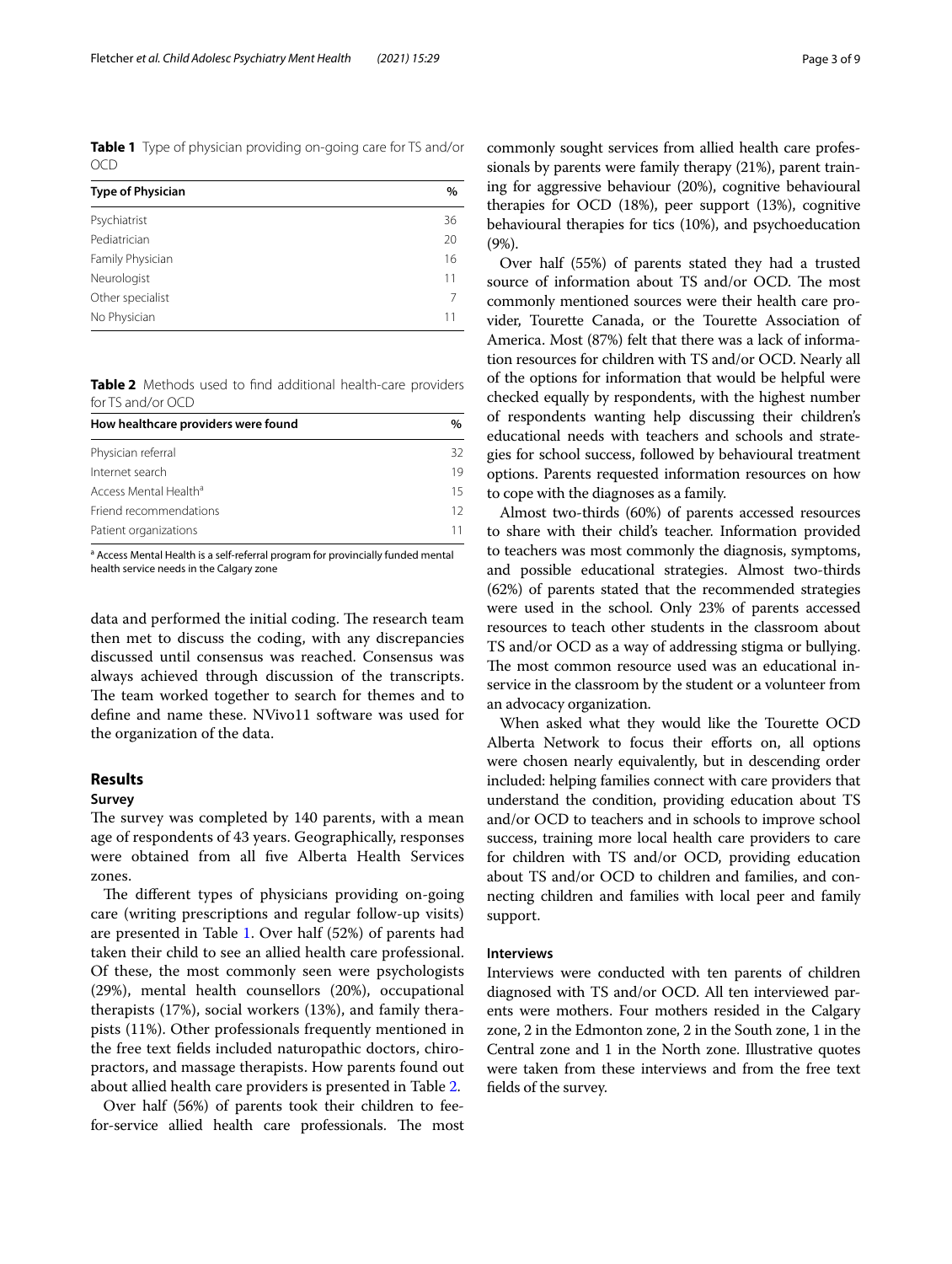<span id="page-2-0"></span>**Table 1** Type of physician providing on-going care for TS and/or OCD

| <b>Type of Physician</b> | $\%$ |
|--------------------------|------|
| Psychiatrist             | 36   |
| Pediatrician             | 20   |
| Family Physician         | 16   |
| Neurologist              | 11   |
| Other specialist         |      |
| No Physician             | 11   |

<span id="page-2-1"></span>**Table 2** Methods used to fnd additional health-care providers for TS and/or OCD

| How healthcare providers were found |    |
|-------------------------------------|----|
| Physician referral                  | 32 |
| Internet search                     | 19 |
| Access Mental Health <sup>a</sup>   | 15 |
| Friend recommendations              | 12 |
| Patient organizations               | 11 |

<sup>a</sup> Access Mental Health is a self-referral program for provincially funded mental health service needs in the Calgary zone

data and performed the initial coding. The research team then met to discuss the coding, with any discrepancies discussed until consensus was reached. Consensus was always achieved through discussion of the transcripts. The team worked together to search for themes and to defne and name these. NVivo11 software was used for the organization of the data.

# **Results**

## **Survey**

The survey was completed by 140 parents, with a mean age of respondents of 43 years. Geographically, responses were obtained from all fve Alberta Health Services zones.

The different types of physicians providing on-going care (writing prescriptions and regular follow-up visits) are presented in Table [1](#page-2-0). Over half (52%) of parents had taken their child to see an allied health care professional. Of these, the most commonly seen were psychologists (29%), mental health counsellors (20%), occupational therapists (17%), social workers (13%), and family therapists (11%). Other professionals frequently mentioned in the free text felds included naturopathic doctors, chiropractors, and massage therapists. How parents found out about allied health care providers is presented in Table [2](#page-2-1).

Over half (56%) of parents took their children to feefor-service allied health care professionals. The most

commonly sought services from allied health care professionals by parents were family therapy (21%), parent training for aggressive behaviour (20%), cognitive behavioural therapies for OCD (18%), peer support (13%), cognitive behavioural therapies for tics (10%), and psychoeducation (9%).

Over half (55%) of parents stated they had a trusted source of information about TS and/or OCD. The most commonly mentioned sources were their health care provider, Tourette Canada, or the Tourette Association of America. Most (87%) felt that there was a lack of information resources for children with TS and/or OCD. Nearly all of the options for information that would be helpful were checked equally by respondents, with the highest number of respondents wanting help discussing their children's educational needs with teachers and schools and strategies for school success, followed by behavioural treatment options. Parents requested information resources on how to cope with the diagnoses as a family.

Almost two-thirds (60%) of parents accessed resources to share with their child's teacher. Information provided to teachers was most commonly the diagnosis, symptoms, and possible educational strategies. Almost two-thirds (62%) of parents stated that the recommended strategies were used in the school. Only 23% of parents accessed resources to teach other students in the classroom about TS and/or OCD as a way of addressing stigma or bullying. The most common resource used was an educational inservice in the classroom by the student or a volunteer from an advocacy organization.

When asked what they would like the Tourette OCD Alberta Network to focus their eforts on, all options were chosen nearly equivalently, but in descending order included: helping families connect with care providers that understand the condition, providing education about TS and/or OCD to teachers and in schools to improve school success, training more local health care providers to care for children with TS and/or OCD, providing education about TS and/or OCD to children and families, and connecting children and families with local peer and family support.

#### **Interviews**

Interviews were conducted with ten parents of children diagnosed with TS and/or OCD. All ten interviewed parents were mothers. Four mothers resided in the Calgary zone, 2 in the Edmonton zone, 2 in the South zone, 1 in the Central zone and 1 in the North zone. Illustrative quotes were taken from these interviews and from the free text felds of the survey.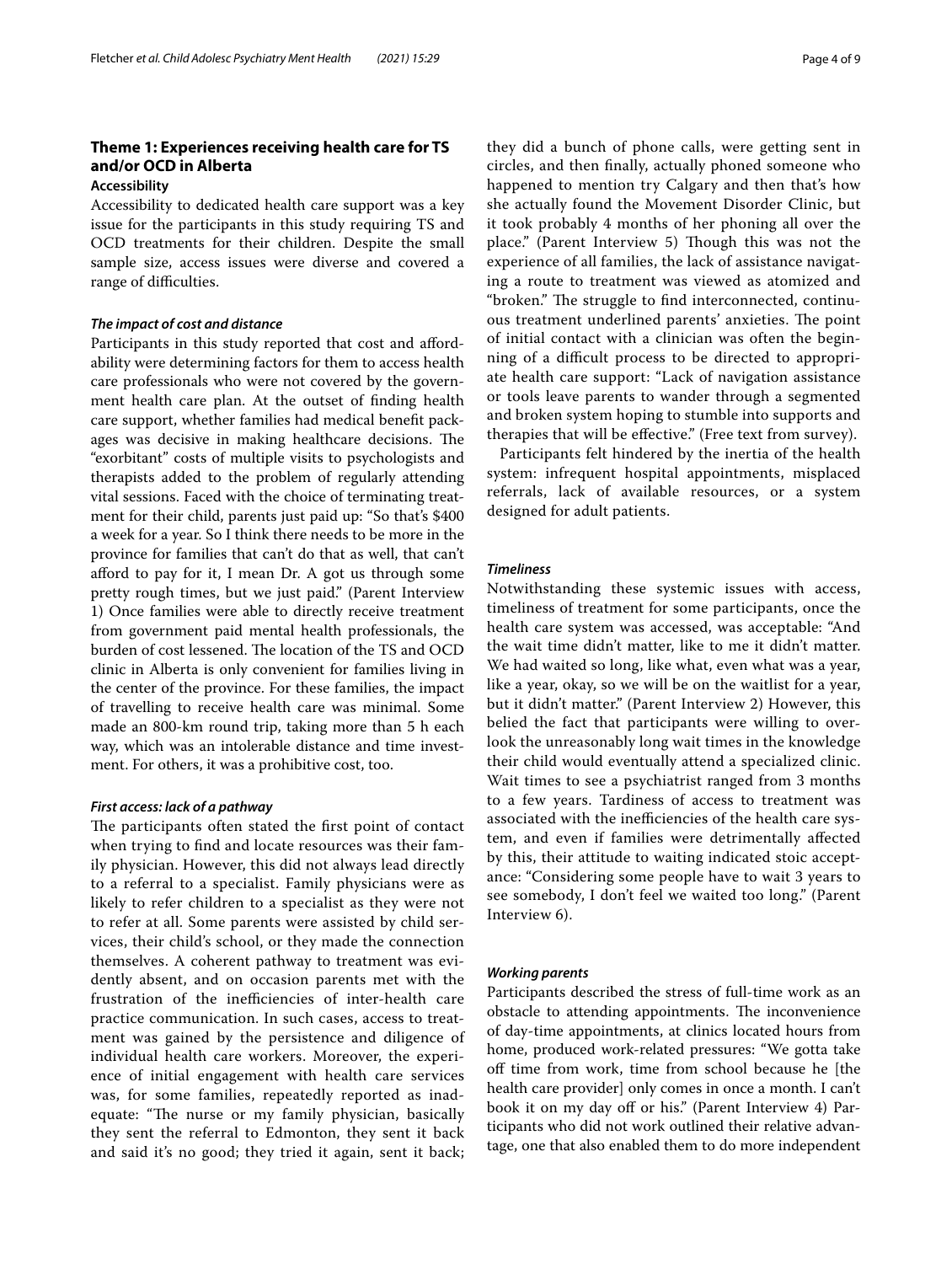# **Theme 1: Experiences receiving health care for TS and/or OCD in Alberta**

# **Accessibility**

Accessibility to dedicated health care support was a key issue for the participants in this study requiring TS and OCD treatments for their children. Despite the small sample size, access issues were diverse and covered a range of difficulties.

#### *The impact of cost and distance*

Participants in this study reported that cost and afordability were determining factors for them to access health care professionals who were not covered by the government health care plan. At the outset of fnding health care support, whether families had medical beneft packages was decisive in making healthcare decisions. The "exorbitant" costs of multiple visits to psychologists and therapists added to the problem of regularly attending vital sessions. Faced with the choice of terminating treatment for their child, parents just paid up: "So that's \$400 a week for a year. So I think there needs to be more in the province for families that can't do that as well, that can't afford to pay for it, I mean Dr. A got us through some pretty rough times, but we just paid." (Parent Interview 1) Once families were able to directly receive treatment from government paid mental health professionals, the burden of cost lessened. The location of the TS and OCD clinic in Alberta is only convenient for families living in the center of the province. For these families, the impact of travelling to receive health care was minimal. Some made an 800-km round trip, taking more than 5 h each way, which was an intolerable distance and time investment. For others, it was a prohibitive cost, too.

#### *First access: lack of a pathway*

The participants often stated the first point of contact when trying to fnd and locate resources was their family physician. However, this did not always lead directly to a referral to a specialist. Family physicians were as likely to refer children to a specialist as they were not to refer at all. Some parents were assisted by child services, their child's school, or they made the connection themselves. A coherent pathway to treatment was evidently absent, and on occasion parents met with the frustration of the inefficiencies of inter-health care practice communication. In such cases, access to treatment was gained by the persistence and diligence of individual health care workers. Moreover, the experience of initial engagement with health care services was, for some families, repeatedly reported as inadequate: "The nurse or my family physician, basically they sent the referral to Edmonton, they sent it back and said it's no good; they tried it again, sent it back; they did a bunch of phone calls, were getting sent in circles, and then fnally, actually phoned someone who happened to mention try Calgary and then that's how she actually found the Movement Disorder Clinic, but it took probably 4 months of her phoning all over the place." (Parent Interview 5) Though this was not the experience of all families, the lack of assistance navigating a route to treatment was viewed as atomized and "broken." The struggle to find interconnected, continuous treatment underlined parents' anxieties. The point of initial contact with a clinician was often the beginning of a difficult process to be directed to appropriate health care support: "Lack of navigation assistance or tools leave parents to wander through a segmented and broken system hoping to stumble into supports and therapies that will be efective." (Free text from survey).

Participants felt hindered by the inertia of the health system: infrequent hospital appointments, misplaced referrals, lack of available resources, or a system designed for adult patients.

#### *Timeliness*

Notwithstanding these systemic issues with access, timeliness of treatment for some participants, once the health care system was accessed, was acceptable: "And the wait time didn't matter, like to me it didn't matter. We had waited so long, like what, even what was a year, like a year, okay, so we will be on the waitlist for a year, but it didn't matter." (Parent Interview 2) However, this belied the fact that participants were willing to overlook the unreasonably long wait times in the knowledge their child would eventually attend a specialized clinic. Wait times to see a psychiatrist ranged from 3 months to a few years. Tardiness of access to treatment was associated with the inefficiencies of the health care system, and even if families were detrimentally afected by this, their attitude to waiting indicated stoic acceptance: "Considering some people have to wait 3 years to see somebody, I don't feel we waited too long." (Parent Interview 6).

# *Working parents*

Participants described the stress of full-time work as an obstacle to attending appointments. The inconvenience of day-time appointments, at clinics located hours from home, produced work-related pressures: "We gotta take off time from work, time from school because he [the health care provider] only comes in once a month. I can't book it on my day off or his." (Parent Interview 4) Participants who did not work outlined their relative advantage, one that also enabled them to do more independent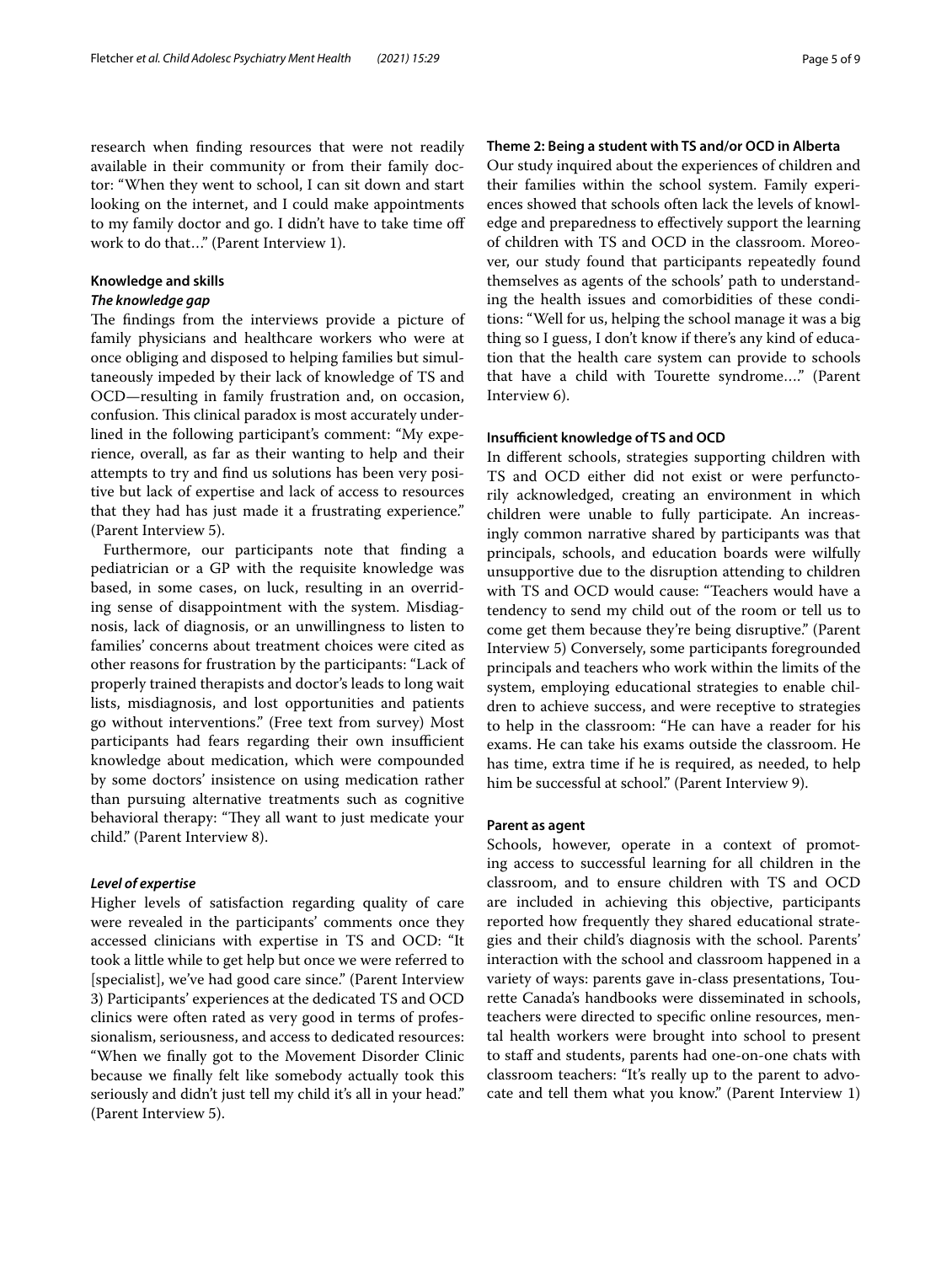research when fnding resources that were not readily available in their community or from their family doctor: "When they went to school, I can sit down and start looking on the internet, and I could make appointments to my family doctor and go. I didn't have to take time of work to do that…" (Parent Interview 1).

#### **Knowledge and skills**

# *The knowledge gap*

The findings from the interviews provide a picture of family physicians and healthcare workers who were at once obliging and disposed to helping families but simultaneously impeded by their lack of knowledge of TS and OCD—resulting in family frustration and, on occasion, confusion. This clinical paradox is most accurately underlined in the following participant's comment: "My experience, overall, as far as their wanting to help and their attempts to try and fnd us solutions has been very positive but lack of expertise and lack of access to resources that they had has just made it a frustrating experience." (Parent Interview 5).

Furthermore, our participants note that fnding a pediatrician or a GP with the requisite knowledge was based, in some cases, on luck, resulting in an overriding sense of disappointment with the system. Misdiagnosis, lack of diagnosis, or an unwillingness to listen to families' concerns about treatment choices were cited as other reasons for frustration by the participants: "Lack of properly trained therapists and doctor's leads to long wait lists, misdiagnosis, and lost opportunities and patients go without interventions." (Free text from survey) Most participants had fears regarding their own insufficient knowledge about medication, which were compounded by some doctors' insistence on using medication rather than pursuing alternative treatments such as cognitive behavioral therapy: "They all want to just medicate your child." (Parent Interview 8).

#### *Level of expertise*

Higher levels of satisfaction regarding quality of care were revealed in the participants' comments once they accessed clinicians with expertise in TS and OCD: "It took a little while to get help but once we were referred to [specialist], we've had good care since." (Parent Interview 3) Participants' experiences at the dedicated TS and OCD clinics were often rated as very good in terms of professionalism, seriousness, and access to dedicated resources: "When we fnally got to the Movement Disorder Clinic because we fnally felt like somebody actually took this seriously and didn't just tell my child it's all in your head." (Parent Interview 5).

# **Theme 2: Being a student with TS and/or OCD in Alberta**

Our study inquired about the experiences of children and their families within the school system. Family experiences showed that schools often lack the levels of knowledge and preparedness to efectively support the learning of children with TS and OCD in the classroom. Moreover, our study found that participants repeatedly found themselves as agents of the schools' path to understanding the health issues and comorbidities of these conditions: "Well for us, helping the school manage it was a big thing so I guess, I don't know if there's any kind of education that the health care system can provide to schools that have a child with Tourette syndrome…." (Parent Interview 6).

#### **Insufficient knowledge of TS and OCD**

In diferent schools, strategies supporting children with TS and OCD either did not exist or were perfunctorily acknowledged, creating an environment in which children were unable to fully participate. An increasingly common narrative shared by participants was that principals, schools, and education boards were wilfully unsupportive due to the disruption attending to children with TS and OCD would cause: "Teachers would have a tendency to send my child out of the room or tell us to come get them because they're being disruptive." (Parent Interview 5) Conversely, some participants foregrounded principals and teachers who work within the limits of the system, employing educational strategies to enable children to achieve success, and were receptive to strategies to help in the classroom: "He can have a reader for his exams. He can take his exams outside the classroom. He has time, extra time if he is required, as needed, to help him be successful at school." (Parent Interview 9).

# **Parent as agent**

Schools, however, operate in a context of promoting access to successful learning for all children in the classroom, and to ensure children with TS and OCD are included in achieving this objective, participants reported how frequently they shared educational strategies and their child's diagnosis with the school. Parents' interaction with the school and classroom happened in a variety of ways: parents gave in-class presentations, Tourette Canada's handbooks were disseminated in schools, teachers were directed to specifc online resources, mental health workers were brought into school to present to staff and students, parents had one-on-one chats with classroom teachers: "It's really up to the parent to advocate and tell them what you know." (Parent Interview 1)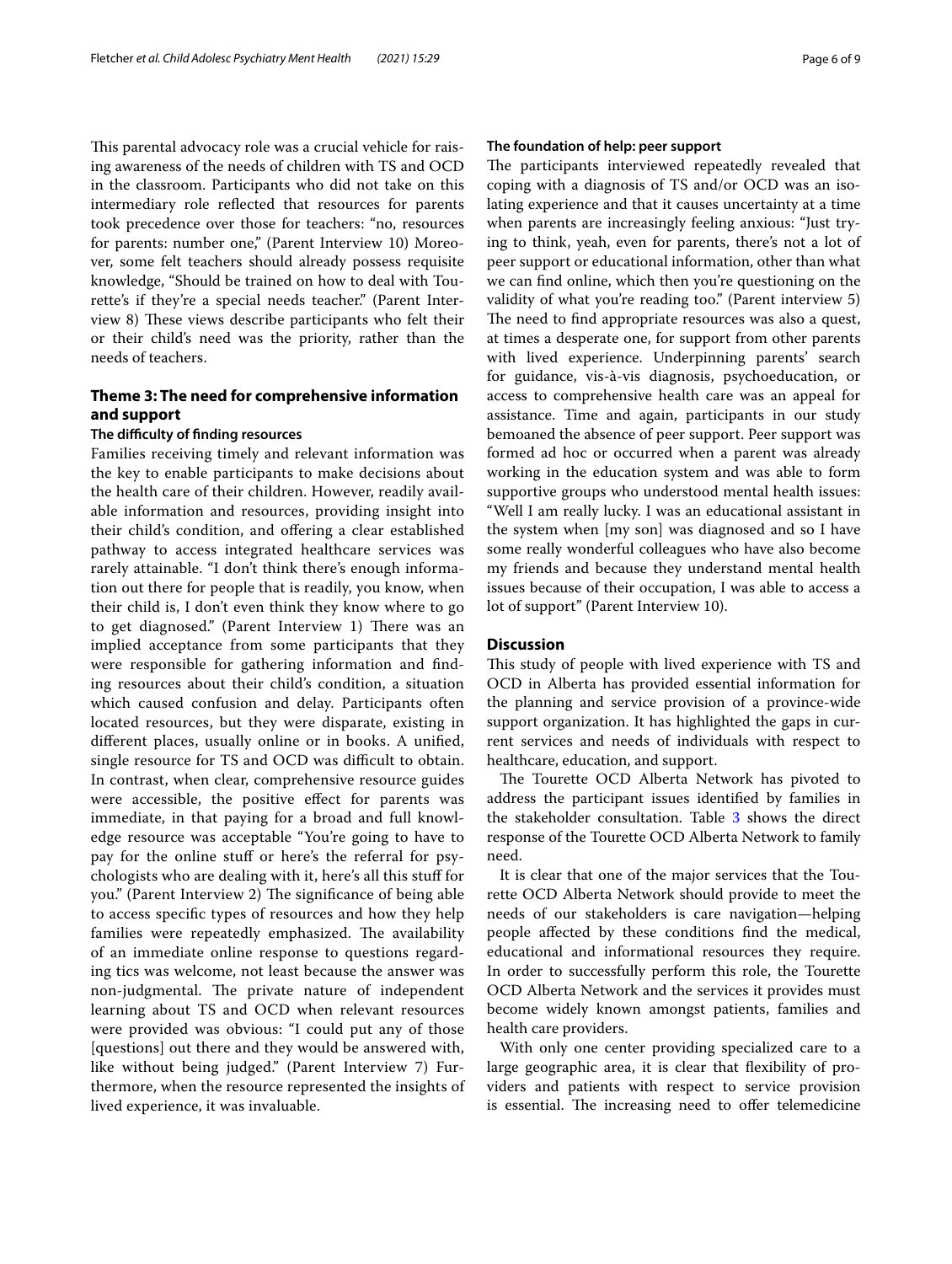This parental advocacy role was a crucial vehicle for raising awareness of the needs of children with TS and OCD in the classroom. Participants who did not take on this intermediary role refected that resources for parents took precedence over those for teachers: "no, resources for parents: number one," (Parent Interview 10) Moreover, some felt teachers should already possess requisite knowledge, "Should be trained on how to deal with Tourette's if they're a special needs teacher." (Parent Interview 8) These views describe participants who felt their or their child's need was the priority, rather than the needs of teachers.

# **Theme 3: The need for comprehensive information and support**

# **The difculty of fnding resources**

Families receiving timely and relevant information was the key to enable participants to make decisions about the health care of their children. However, readily available information and resources, providing insight into their child's condition, and ofering a clear established pathway to access integrated healthcare services was rarely attainable. "I don't think there's enough information out there for people that is readily, you know, when their child is, I don't even think they know where to go to get diagnosed." (Parent Interview 1) There was an implied acceptance from some participants that they were responsible for gathering information and fnding resources about their child's condition, a situation which caused confusion and delay. Participants often located resources, but they were disparate, existing in diferent places, usually online or in books. A unifed, single resource for TS and OCD was difficult to obtain. In contrast, when clear, comprehensive resource guides were accessible, the positive efect for parents was immediate, in that paying for a broad and full knowledge resource was acceptable "You're going to have to pay for the online stuf or here's the referral for psychologists who are dealing with it, here's all this stuf for you." (Parent Interview 2) The significance of being able to access specifc types of resources and how they help families were repeatedly emphasized. The availability of an immediate online response to questions regarding tics was welcome, not least because the answer was non-judgmental. The private nature of independent learning about TS and OCD when relevant resources were provided was obvious: "I could put any of those [questions] out there and they would be answered with, like without being judged." (Parent Interview 7) Furthermore, when the resource represented the insights of lived experience, it was invaluable.

# **The foundation of help: peer support**

The participants interviewed repeatedly revealed that coping with a diagnosis of TS and/or OCD was an isolating experience and that it causes uncertainty at a time when parents are increasingly feeling anxious: "Just trying to think, yeah, even for parents, there's not a lot of peer support or educational information, other than what we can fnd online, which then you're questioning on the validity of what you're reading too." (Parent interview 5) The need to find appropriate resources was also a quest, at times a desperate one, for support from other parents with lived experience. Underpinning parents' search for guidance, vis-à-vis diagnosis, psychoeducation, or access to comprehensive health care was an appeal for assistance. Time and again, participants in our study bemoaned the absence of peer support. Peer support was formed ad hoc or occurred when a parent was already working in the education system and was able to form supportive groups who understood mental health issues: "Well I am really lucky. I was an educational assistant in the system when [my son] was diagnosed and so I have some really wonderful colleagues who have also become my friends and because they understand mental health issues because of their occupation, I was able to access a lot of support" (Parent Interview 10).

# **Discussion**

This study of people with lived experience with TS and OCD in Alberta has provided essential information for the planning and service provision of a province-wide support organization. It has highlighted the gaps in current services and needs of individuals with respect to healthcare, education, and support.

The Tourette OCD Alberta Network has pivoted to address the participant issues identifed by families in the stakeholder consultation. Table [3](#page-6-0) shows the direct response of the Tourette OCD Alberta Network to family need.

It is clear that one of the major services that the Tourette OCD Alberta Network should provide to meet the needs of our stakeholders is care navigation—helping people afected by these conditions fnd the medical, educational and informational resources they require. In order to successfully perform this role, the Tourette OCD Alberta Network and the services it provides must become widely known amongst patients, families and health care providers.

With only one center providing specialized care to a large geographic area, it is clear that fexibility of providers and patients with respect to service provision is essential. The increasing need to offer telemedicine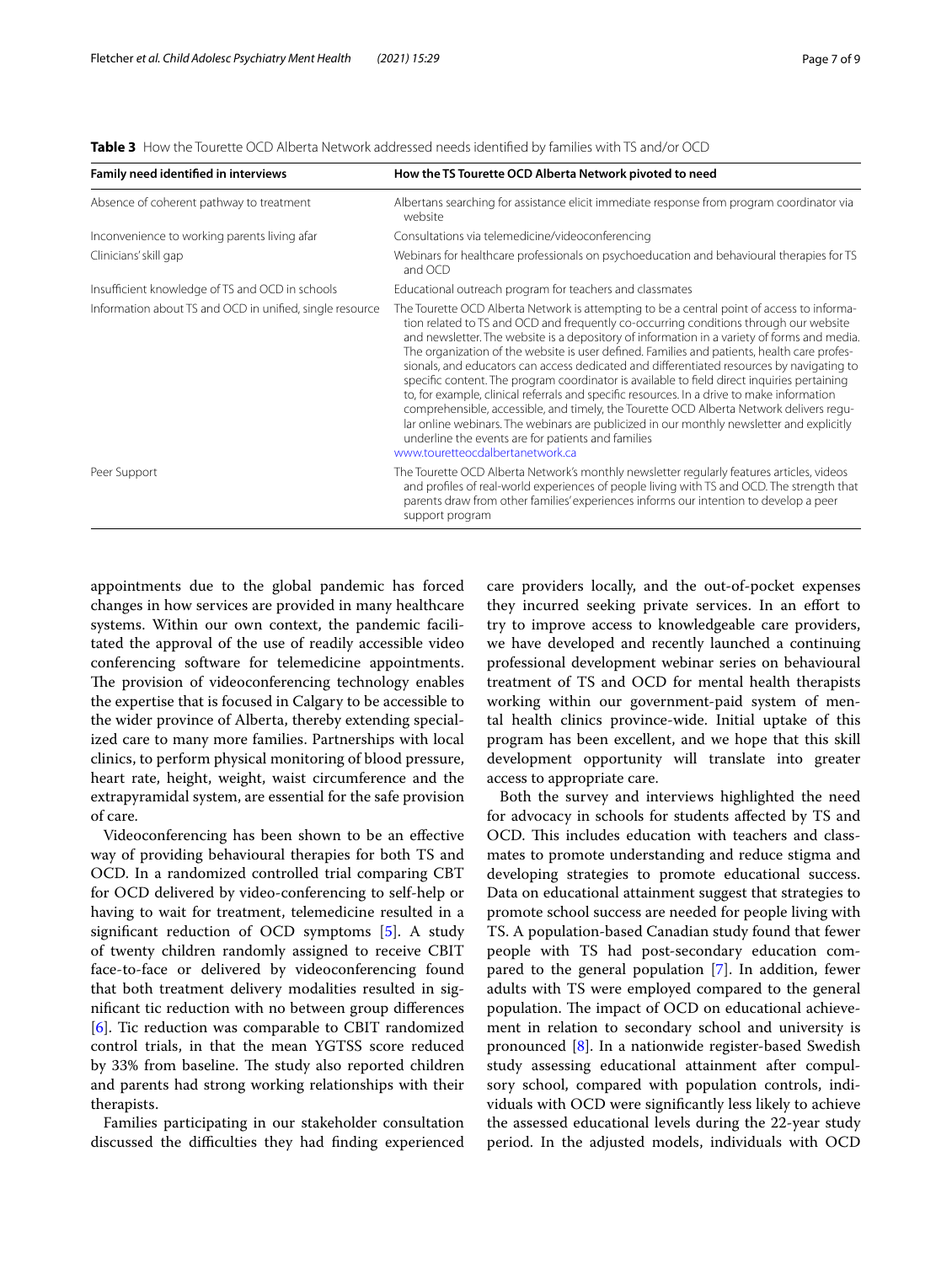| Family need identified in interviews                     | How the TS Tourette OCD Alberta Network pivoted to need                                                                                                                                                                                                                                                                                                                                                                                                                                                                                                                                                                                                                                                                                                                                                                                                                                                                                                       |
|----------------------------------------------------------|---------------------------------------------------------------------------------------------------------------------------------------------------------------------------------------------------------------------------------------------------------------------------------------------------------------------------------------------------------------------------------------------------------------------------------------------------------------------------------------------------------------------------------------------------------------------------------------------------------------------------------------------------------------------------------------------------------------------------------------------------------------------------------------------------------------------------------------------------------------------------------------------------------------------------------------------------------------|
| Absence of coherent pathway to treatment                 | Albertans searching for assistance elicit immediate response from program coordinator via<br>website                                                                                                                                                                                                                                                                                                                                                                                                                                                                                                                                                                                                                                                                                                                                                                                                                                                          |
| Inconvenience to working parents living afar             | Consultations via telemedicine/videoconferencing                                                                                                                                                                                                                                                                                                                                                                                                                                                                                                                                                                                                                                                                                                                                                                                                                                                                                                              |
| Clinicians' skill gap                                    | Webinars for healthcare professionals on psychoeducation and behavioural therapies for TS<br>and OCD                                                                                                                                                                                                                                                                                                                                                                                                                                                                                                                                                                                                                                                                                                                                                                                                                                                          |
| Insufficient knowledge of TS and OCD in schools          | Educational outreach program for teachers and classmates                                                                                                                                                                                                                                                                                                                                                                                                                                                                                                                                                                                                                                                                                                                                                                                                                                                                                                      |
| Information about TS and OCD in unified, single resource | The Tourette OCD Alberta Network is attempting to be a central point of access to informa-<br>tion related to TS and OCD and frequently co-occurring conditions through our website<br>and newsletter. The website is a depository of information in a variety of forms and media.<br>The organization of the website is user defined. Families and patients, health care profes-<br>sionals, and educators can access dedicated and differentiated resources by navigating to<br>specific content. The program coordinator is available to field direct inquiries pertaining<br>to, for example, clinical referrals and specific resources. In a drive to make information<br>comprehensible, accessible, and timely, the Tourette OCD Alberta Network delivers requ-<br>lar online webinars. The webinars are publicized in our monthly newsletter and explicitly<br>underline the events are for patients and families<br>www.touretteocdalbertanetwork.ca |
| Peer Support                                             | The Tourette OCD Alberta Network's monthly newsletter regularly features articles, videos<br>and profiles of real-world experiences of people living with TS and OCD. The strength that<br>parents draw from other families' experiences informs our intention to develop a peer<br>support program                                                                                                                                                                                                                                                                                                                                                                                                                                                                                                                                                                                                                                                           |

<span id="page-6-0"></span>**Table 3** How the Tourette OCD Alberta Network addressed needs identifed by families with TS and/or OCD

appointments due to the global pandemic has forced changes in how services are provided in many healthcare systems. Within our own context, the pandemic facilitated the approval of the use of readily accessible video conferencing software for telemedicine appointments. The provision of videoconferencing technology enables the expertise that is focused in Calgary to be accessible to the wider province of Alberta, thereby extending specialized care to many more families. Partnerships with local clinics, to perform physical monitoring of blood pressure, heart rate, height, weight, waist circumference and the extrapyramidal system, are essential for the safe provision of care.

Videoconferencing has been shown to be an efective way of providing behavioural therapies for both TS and OCD. In a randomized controlled trial comparing CBT for OCD delivered by video-conferencing to self-help or having to wait for treatment, telemedicine resulted in a signifcant reduction of OCD symptoms [[5\]](#page-8-4). A study of twenty children randomly assigned to receive CBIT face-to-face or delivered by videoconferencing found that both treatment delivery modalities resulted in signifcant tic reduction with no between group diferences [[6\]](#page-8-5). Tic reduction was comparable to CBIT randomized control trials, in that the mean YGTSS score reduced by 33% from baseline. The study also reported children and parents had strong working relationships with their therapists.

Families participating in our stakeholder consultation discussed the difficulties they had finding experienced care providers locally, and the out-of-pocket expenses they incurred seeking private services. In an efort to try to improve access to knowledgeable care providers, we have developed and recently launched a continuing professional development webinar series on behavioural treatment of TS and OCD for mental health therapists working within our government-paid system of mental health clinics province-wide. Initial uptake of this program has been excellent, and we hope that this skill development opportunity will translate into greater access to appropriate care.

Both the survey and interviews highlighted the need for advocacy in schools for students afected by TS and OCD. This includes education with teachers and classmates to promote understanding and reduce stigma and developing strategies to promote educational success. Data on educational attainment suggest that strategies to promote school success are needed for people living with TS. A population-based Canadian study found that fewer people with TS had post-secondary education compared to the general population [[7\]](#page-8-6). In addition, fewer adults with TS were employed compared to the general population. The impact of OCD on educational achievement in relation to secondary school and university is pronounced [\[8\]](#page-8-7). In a nationwide register-based Swedish study assessing educational attainment after compulsory school, compared with population controls, individuals with OCD were signifcantly less likely to achieve the assessed educational levels during the 22-year study period. In the adjusted models, individuals with OCD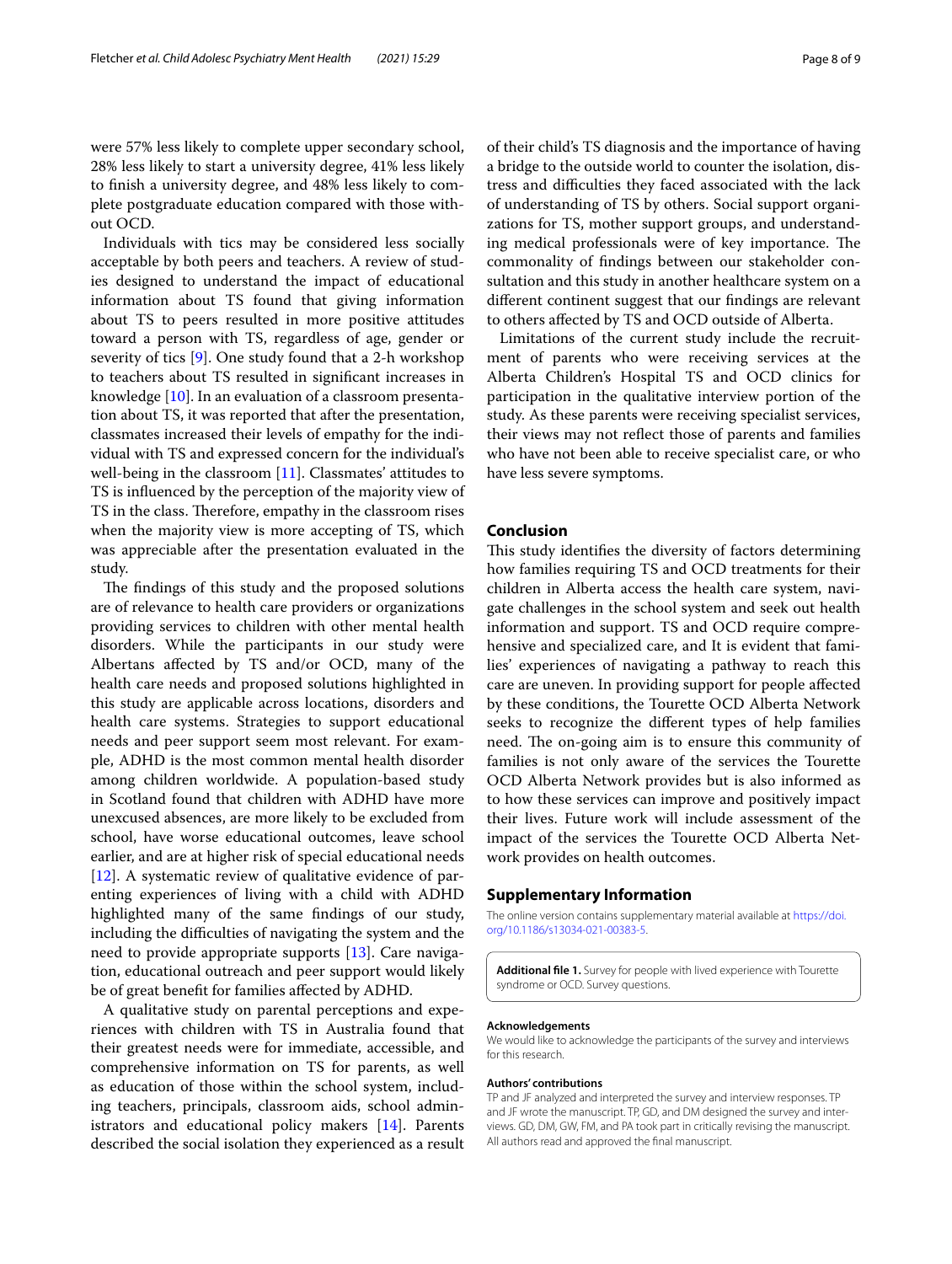were 57% less likely to complete upper secondary school, 28% less likely to start a university degree, 41% less likely to fnish a university degree, and 48% less likely to complete postgraduate education compared with those without OCD.

Individuals with tics may be considered less socially acceptable by both peers and teachers. A review of studies designed to understand the impact of educational information about TS found that giving information about TS to peers resulted in more positive attitudes toward a person with TS, regardless of age, gender or severity of tics [\[9](#page-8-8)]. One study found that a 2-h workshop to teachers about TS resulted in signifcant increases in knowledge [\[10\]](#page-8-9). In an evaluation of a classroom presentation about TS, it was reported that after the presentation, classmates increased their levels of empathy for the individual with TS and expressed concern for the individual's well-being in the classroom [[11\]](#page-8-10). Classmates' attitudes to TS is infuenced by the perception of the majority view of TS in the class. Therefore, empathy in the classroom rises when the majority view is more accepting of TS, which was appreciable after the presentation evaluated in the study.

The findings of this study and the proposed solutions are of relevance to health care providers or organizations providing services to children with other mental health disorders. While the participants in our study were Albertans afected by TS and/or OCD, many of the health care needs and proposed solutions highlighted in this study are applicable across locations, disorders and health care systems. Strategies to support educational needs and peer support seem most relevant. For example, ADHD is the most common mental health disorder among children worldwide. A population-based study in Scotland found that children with ADHD have more unexcused absences, are more likely to be excluded from school, have worse educational outcomes, leave school earlier, and are at higher risk of special educational needs [[12\]](#page-8-11). A systematic review of qualitative evidence of parenting experiences of living with a child with ADHD highlighted many of the same fndings of our study, including the difficulties of navigating the system and the need to provide appropriate supports [\[13](#page-8-12)]. Care navigation, educational outreach and peer support would likely be of great beneft for families afected by ADHD.

A qualitative study on parental perceptions and experiences with children with TS in Australia found that their greatest needs were for immediate, accessible, and comprehensive information on TS for parents, as well as education of those within the school system, including teachers, principals, classroom aids, school administrators and educational policy makers [[14\]](#page-8-13). Parents described the social isolation they experienced as a result of their child's TS diagnosis and the importance of having a bridge to the outside world to counter the isolation, distress and difculties they faced associated with the lack of understanding of TS by others. Social support organizations for TS, mother support groups, and understanding medical professionals were of key importance. The commonality of fndings between our stakeholder consultation and this study in another healthcare system on a diferent continent suggest that our fndings are relevant to others afected by TS and OCD outside of Alberta.

Limitations of the current study include the recruitment of parents who were receiving services at the Alberta Children's Hospital TS and OCD clinics for participation in the qualitative interview portion of the study. As these parents were receiving specialist services, their views may not refect those of parents and families who have not been able to receive specialist care, or who have less severe symptoms.

# **Conclusion**

This study identifies the diversity of factors determining how families requiring TS and OCD treatments for their children in Alberta access the health care system, navigate challenges in the school system and seek out health information and support. TS and OCD require comprehensive and specialized care, and It is evident that families' experiences of navigating a pathway to reach this care are uneven. In providing support for people afected by these conditions, the Tourette OCD Alberta Network seeks to recognize the diferent types of help families need. The on-going aim is to ensure this community of families is not only aware of the services the Tourette OCD Alberta Network provides but is also informed as to how these services can improve and positively impact their lives. Future work will include assessment of the impact of the services the Tourette OCD Alberta Network provides on health outcomes.

# **Supplementary Information**

The online version contains supplementary material available at [https://doi.](https://doi.org/10.1186/s13034-021-00383-5) [org/10.1186/s13034-021-00383-5](https://doi.org/10.1186/s13034-021-00383-5).

<span id="page-7-0"></span>**Additional fle 1.** Survey for people with lived experience with Tourette syndrome or OCD. Survey questions.

#### **Acknowledgements**

We would like to acknowledge the participants of the survey and interviews for this research.

#### **Authors' contributions**

TP and JF analyzed and interpreted the survey and interview responses. TP and JF wrote the manuscript. TP, GD, and DM designed the survey and interviews. GD, DM, GW, FM, and PA took part in critically revising the manuscript. All authors read and approved the fnal manuscript.